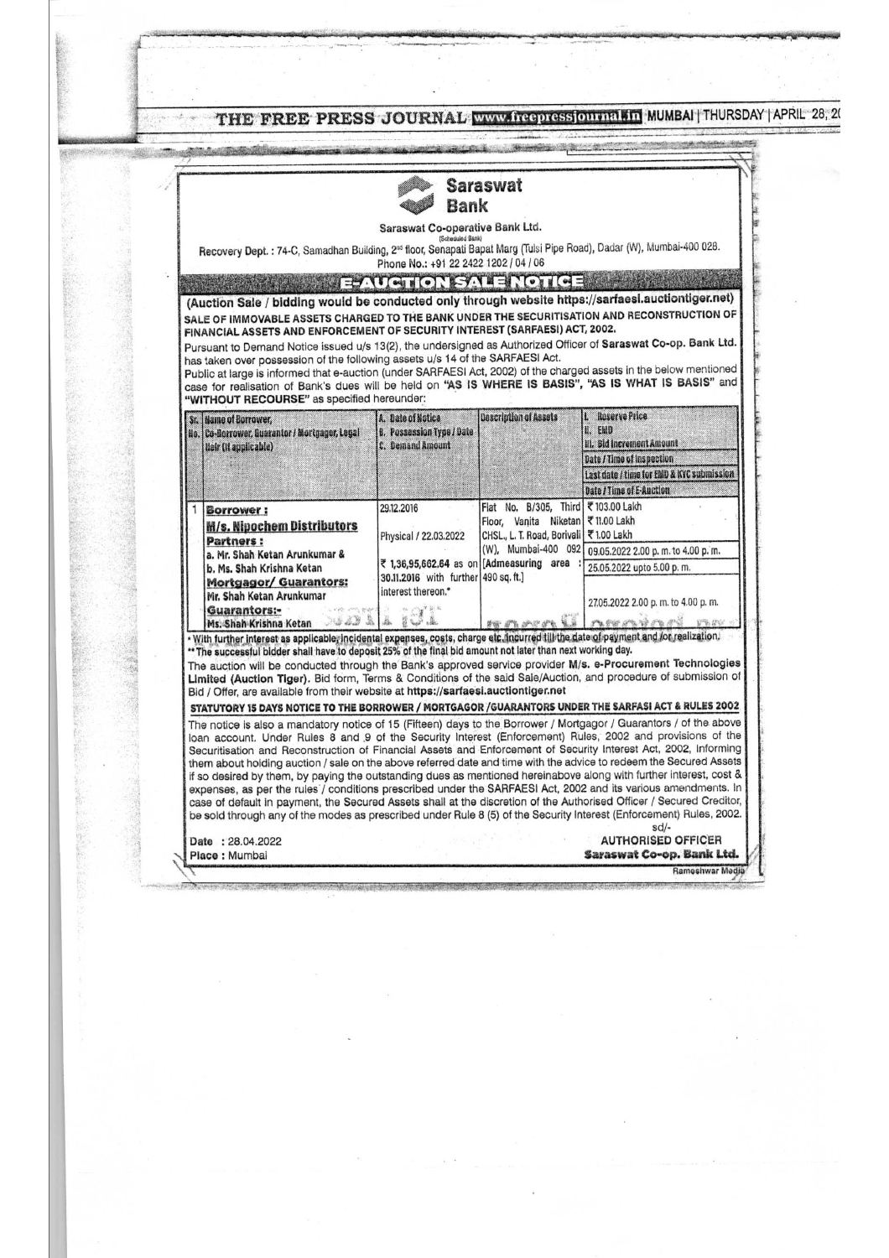|                                                                                                                                                                                                                                                      |                                                            | <b>Saraswat</b>                                                          |                                                                                                                                                                                                                                |  |
|------------------------------------------------------------------------------------------------------------------------------------------------------------------------------------------------------------------------------------------------------|------------------------------------------------------------|--------------------------------------------------------------------------|--------------------------------------------------------------------------------------------------------------------------------------------------------------------------------------------------------------------------------|--|
|                                                                                                                                                                                                                                                      | Bank                                                       |                                                                          |                                                                                                                                                                                                                                |  |
|                                                                                                                                                                                                                                                      | Saraswat Co-operative Bank Ltd.<br>(Scheduled Bank)        |                                                                          |                                                                                                                                                                                                                                |  |
| Recovery Dept. : 74-C, Samadhan Building, 2 <sup>nd</sup> floor, Senapati Bapat Marg (Tulsi Pipe Road), Dadar (W), Mumbai-400 028.                                                                                                                   |                                                            |                                                                          |                                                                                                                                                                                                                                |  |
|                                                                                                                                                                                                                                                      | Phone No.: +91 22 2422 1202 / 04 / 06                      |                                                                          |                                                                                                                                                                                                                                |  |
| (Auction Sale / bidding would be conducted only through website https://sarfaesi.auctiontiger.net)                                                                                                                                                   | EAUCTION SALE NOTICE                                       |                                                                          |                                                                                                                                                                                                                                |  |
| SALE OF IMMOVABLE ASSETS CHARGED TO THE BANK UNDER THE SECURITISATION AND RECONSTRUCTION OF                                                                                                                                                          |                                                            |                                                                          |                                                                                                                                                                                                                                |  |
| FINANCIAL ASSETS AND ENFORCEMENT OF SECURITY INTEREST (SARFAESI) ACT, 2002.                                                                                                                                                                          |                                                            |                                                                          |                                                                                                                                                                                                                                |  |
| Pursuant to Demand Notice issued u/s 13(2), the undersigned as Authorized Officer of Saraswat Co-op. Bank Ltd.<br>has taken over possession of the following assets u/s 14 of the SARFAESI Act.                                                      |                                                            |                                                                          |                                                                                                                                                                                                                                |  |
| Public at large is informed that e-auction (under SARFAESI Act, 2002) of the charged assets in the below mentioned<br>case for realisation of Bank's dues will be held on "AS IS WHERE IS BASIS", "AS IS WHAT IS BASIS" and                          |                                                            |                                                                          |                                                                                                                                                                                                                                |  |
| "WITHOUT RECOURSE" as specified hereunder:                                                                                                                                                                                                           |                                                            |                                                                          |                                                                                                                                                                                                                                |  |
| Sr. Hame of Borrower,                                                                                                                                                                                                                                | A. Date of Notica                                          | Description of Assets                                                    | <b>Reserve Price</b>                                                                                                                                                                                                           |  |
| No. Co-Borrower, Guarantor / Mortgager, Legal                                                                                                                                                                                                        | B. Possession Type / Date<br>C. Demand Amount              |                                                                          | U. EMD<br>III. Bid Increment Amount                                                                                                                                                                                            |  |
| Heir (It applicable)                                                                                                                                                                                                                                 |                                                            |                                                                          | Date / Time of Inspection                                                                                                                                                                                                      |  |
|                                                                                                                                                                                                                                                      |                                                            |                                                                          | Last date / time for EMD & KYC submission                                                                                                                                                                                      |  |
|                                                                                                                                                                                                                                                      |                                                            |                                                                          | Date / Time of E-Auction                                                                                                                                                                                                       |  |
| Borrower:                                                                                                                                                                                                                                            | 29.12.2016                                                 | Flat No. B/305, Third ₹103.00 Lakh<br>Floor, Vanita Niketan ₹ 11.00 Lakh |                                                                                                                                                                                                                                |  |
| <b>M/s. Nipochem Distributors</b><br>Partners :<br>a. Mr. Shah Ketan Arunkumar &<br>b. Ms. Shah Krishna Ketan                                                                                                                                        | Physical / 22.03.2022                                      | CHSL., L. T. Road, Borivali ₹ 1.00 Lakh<br>(W), Mumbai-400 092           |                                                                                                                                                                                                                                |  |
|                                                                                                                                                                                                                                                      | ₹ 1,36,95,662,64 as on [Admeasuring area                   |                                                                          | 09.05.2022 2.00 p.m. to 4.00 p.m.                                                                                                                                                                                              |  |
|                                                                                                                                                                                                                                                      |                                                            |                                                                          | 25.05.2022 upto 5.00 p.m.                                                                                                                                                                                                      |  |
| Mortgagor/ Guarantors:                                                                                                                                                                                                                               | 30.11.2016 with further 490 sq. ft.]<br>interest thereon.* |                                                                          |                                                                                                                                                                                                                                |  |
| Mr. Shah Ketan Arunkumar<br>Guarantors:-<br>气管动作                                                                                                                                                                                                     | 外汇通货单                                                      |                                                                          | 27.05.2022 2.00 p.m. to 4.00 p.m.                                                                                                                                                                                              |  |
| ABABAB<br>Ms. Shah Krishna Ketan                                                                                                                                                                                                                     | El Super Editor                                            | 5-4-5-5-5-5-5-6                                                          | reserves re                                                                                                                                                                                                                    |  |
| · With further interest as applicable, incidental expenses, costs, charge etc. incurred till the date of payment and for realization.<br>** The successful bidder shall have to deposit 25% of the final bid amount not later than next working day. |                                                            |                                                                          |                                                                                                                                                                                                                                |  |
| The auction will be conducted through the Bank's approved service provider M/s. e-Procurement Technologies                                                                                                                                           |                                                            |                                                                          |                                                                                                                                                                                                                                |  |
| Limited (Auction Tiger). Bid form, Terms & Conditions of the said Sale/Auction, and procedure of submission of<br>Bid / Offer, are available from their website at https://sarfaesi.auctiontiger.net                                                 |                                                            |                                                                          |                                                                                                                                                                                                                                |  |
| STATUTORY 15 DAYS NOTICE TO THE BORROWER / MORTGAGOR /GUARANTORS UNDER THE SARFASI ACT & RULES 2002                                                                                                                                                  |                                                            |                                                                          |                                                                                                                                                                                                                                |  |
| The notice is also a mandatory notice of 15 (Fifteen) days to the Borrower / Mortgagor / Guarantors / of the above                                                                                                                                   |                                                            |                                                                          |                                                                                                                                                                                                                                |  |
| loan account. Under Rules 8 and 9 of the Security Interest (Enforcement) Rules, 2002 and provisions of the                                                                                                                                           |                                                            |                                                                          |                                                                                                                                                                                                                                |  |
| Securitisation and Reconstruction of Financial Assets and Enforcement of Security Interest Act, 2002, Informing<br>them about holding auction / sale on the above referred date and time with the advice to redeem the Secured Assets                |                                                            |                                                                          |                                                                                                                                                                                                                                |  |
| if so desired by them, by paying the outstanding dues as mentioned hereinabove along with further interest, cost &                                                                                                                                   |                                                            |                                                                          |                                                                                                                                                                                                                                |  |
| expenses, as per the rules / conditions prescribed under the SARFAESI Act, 2002 and its various amendments. In<br>case of default in payment, the Secured Assets shall at the discretion of the Authorised Officer / Secured Creditor,               |                                                            |                                                                          |                                                                                                                                                                                                                                |  |
| be sold through any of the modes as prescribed under Rule 8 (5) of the Security Interest (Enforcement) Rules, 2002.                                                                                                                                  |                                                            |                                                                          |                                                                                                                                                                                                                                |  |
|                                                                                                                                                                                                                                                      |                                                            |                                                                          | sd/-                                                                                                                                                                                                                           |  |
| Date: 28.04.2022<br>Place: Mumbai                                                                                                                                                                                                                    |                                                            |                                                                          | <b>AUTHORISED OFFICER</b><br>Saraswat Co-op. Bank Ltd.                                                                                                                                                                         |  |
|                                                                                                                                                                                                                                                      |                                                            |                                                                          | Rameshwar Media                                                                                                                                                                                                                |  |
|                                                                                                                                                                                                                                                      |                                                            |                                                                          | The communication of the matter of the communication of the communication of the communication of the communication of the communication of the communication of the communication of the communication of the communication o |  |
|                                                                                                                                                                                                                                                      |                                                            |                                                                          |                                                                                                                                                                                                                                |  |

 $\frac{1}{2}$ 

 $\hat{\boldsymbol{\epsilon}}$ 

t e componente.<br>Altre de la componente del componente del componente del componente del componente del componente del componen